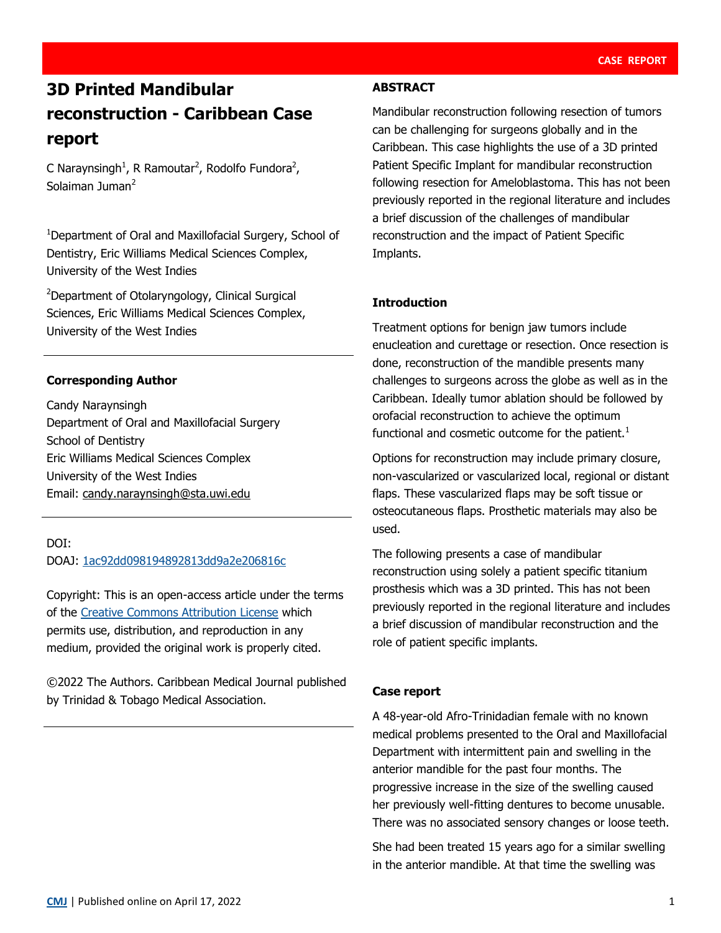# **3D Printed Mandibular reconstruction - Caribbean Case report**

C Naraynsingh<sup>1</sup>, R Ramoutar<sup>2</sup>, Rodolfo Fundora<sup>2</sup>, Solaiman Juman<sup>2</sup>

<sup>1</sup>Department of Oral and Maxillofacial Surgery, School of Dentistry, Eric Williams Medical Sciences Complex, University of the West Indies

<sup>2</sup>Department of Otolaryngology, Clinical Surgical Sciences, Eric Williams Medical Sciences Complex, University of the West Indies

# **Corresponding Author**

Candy Naraynsingh Department of Oral and Maxillofacial Surgery School of Dentistry Eric Williams Medical Sciences Complex University of the West Indies Email: candy.naraynsingh@sta.uwi.edu

# DOI: DOAJ: [1ac92dd098194892813dd9a2e206816c](https://doaj.org/article/1ac92dd098194892813dd9a2e206816c)

Copyright: This is an open-access article under the terms of the [Creative Commons Attribution License](https://creativecommons.org/licenses/by/4.0/) which permits use, distribution, and reproduction in any medium, provided the original work is properly cited.

©2022 The Authors. Caribbean Medical Journal published by Trinidad & Tobago Medical Association.

## **ABSTRACT**

Mandibular reconstruction following resection of tumors can be challenging for surgeons globally and in the Caribbean. This case highlights the use of a 3D printed Patient Specific Implant for mandibular reconstruction following resection for Ameloblastoma. This has not been previously reported in the regional literature and includes a brief discussion of the challenges of mandibular reconstruction and the impact of Patient Specific Implants.

# **Introduction**

Treatment options for benign jaw tumors include enucleation and curettage or resection. Once resection is done, reconstruction of the mandible presents many challenges to surgeons across the globe as well as in the Caribbean. Ideally tumor ablation should be followed by orofacial reconstruction to achieve the optimum functional and cosmetic outcome for the patient. $<sup>1</sup>$ </sup>

Options for reconstruction may include primary closure, non-vascularized or vascularized local, regional or distant flaps. These vascularized flaps may be soft tissue or osteocutaneous flaps. Prosthetic materials may also be used.

The following presents a case of mandibular reconstruction using solely a patient specific titanium prosthesis which was a 3D printed. This has not been previously reported in the regional literature and includes a brief discussion of mandibular reconstruction and the role of patient specific implants.

## **Case report**

A 48-year-old Afro-Trinidadian female with no known medical problems presented to the Oral and Maxillofacial Department with intermittent pain and swelling in the anterior mandible for the past four months. The progressive increase in the size of the swelling caused her previously well-fitting dentures to become unusable. There was no associated sensory changes or loose teeth.

She had been treated 15 years ago for a similar swelling in the anterior mandible. At that time the swelling was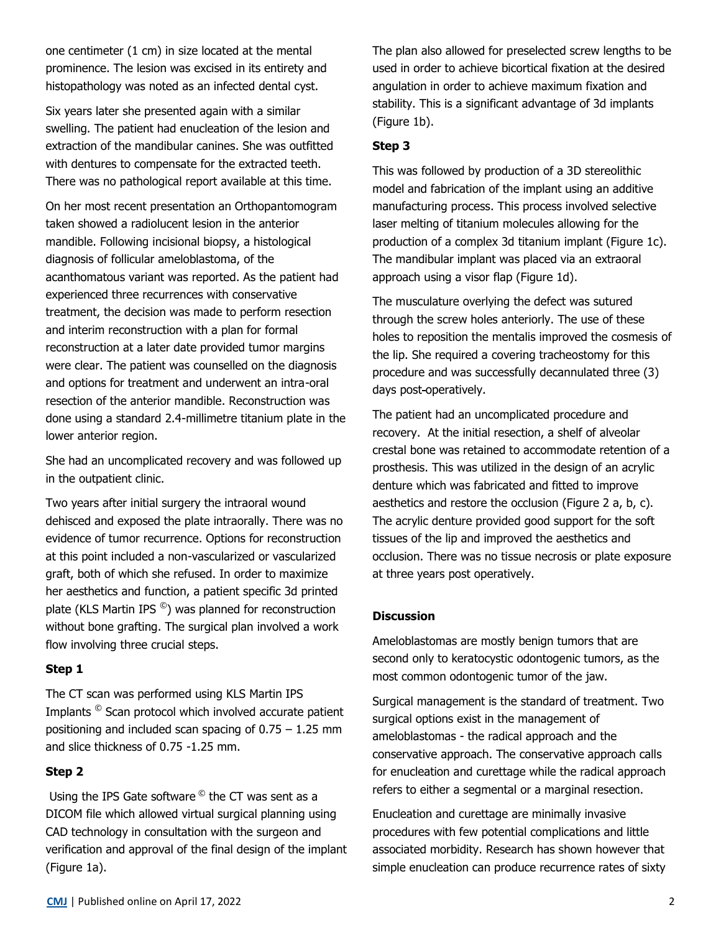one centimeter (1 cm) in size located at the mental prominence. The lesion was excised in its entirety and histopathology was noted as an infected dental cyst.

Six years later she presented again with a similar swelling. The patient had enucleation of the lesion and extraction of the mandibular canines. She was outfitted with dentures to compensate for the extracted teeth. There was no pathological report available at this time.

On her most recent presentation an Orthopantomogram taken showed a radiolucent lesion in the anterior mandible. Following incisional biopsy, a histological diagnosis of follicular ameloblastoma, of the acanthomatous variant was reported. As the patient had experienced three recurrences with conservative treatment, the decision was made to perform resection and interim reconstruction with a plan for formal reconstruction at a later date provided tumor margins were clear. The patient was counselled on the diagnosis and options for treatment and underwent an intra-oral resection of the anterior mandible. Reconstruction was done using a standard 2.4-millimetre titanium plate in the lower anterior region.

She had an uncomplicated recovery and was followed up in the outpatient clinic.

Two years after initial surgery the intraoral wound dehisced and exposed the plate intraorally. There was no evidence of tumor recurrence. Options for reconstruction at this point included a non-vascularized or vascularized graft, both of which she refused. In order to maximize her aesthetics and function, a patient specific 3d printed plate (KLS Martin IPS $^{\circledcirc}$ ) was planned for reconstruction without bone grafting. The surgical plan involved a work flow involving three crucial steps.

## **Step 1**

The CT scan was performed using KLS Martin IPS Implants © Scan protocol which involved accurate patient positioning and included scan spacing of  $0.75 - 1.25$  mm and slice thickness of 0.75 -1.25 mm.

#### **Step 2**

Using the IPS Gate software <sup>©</sup> the CT was sent as a DICOM file which allowed virtual surgical planning using CAD technology in consultation with the surgeon and verification and approval of the final design of the implant (Figure 1a).

The plan also allowed for preselected screw lengths to be used in order to achieve bicortical fixation at the desired angulation in order to achieve maximum fixation and stability. This is a significant advantage of 3d implants (Figure 1b).

#### **Step 3**

This was followed by production of a 3D stereolithic model and fabrication of the implant using an additive manufacturing process. This process involved selective laser melting of titanium molecules allowing for the production of a complex 3d titanium implant (Figure 1c). The mandibular implant was placed via an extraoral approach using a visor flap (Figure 1d).

The musculature overlying the defect was sutured through the screw holes anteriorly. The use of these holes to reposition the mentalis improved the cosmesis of the lip. She required a covering tracheostomy for this procedure and was successfully decannulated three (3) days post-operatively.

The patient had an uncomplicated procedure and recovery. At the initial resection, a shelf of alveolar crestal bone was retained to accommodate retention of a prosthesis. This was utilized in the design of an acrylic denture which was fabricated and fitted to improve aesthetics and restore the occlusion (Figure 2 a, b, c). The acrylic denture provided good support for the soft tissues of the lip and improved the aesthetics and occlusion. There was no tissue necrosis or plate exposure at three years post operatively.

#### **Discussion**

Ameloblastomas are mostly benign tumors that are second only to keratocystic odontogenic tumors, as the most common odontogenic tumor of the jaw.

Surgical management is the standard of treatment. Two surgical options exist in the management of ameloblastomas - the radical approach and the conservative approach. The conservative approach calls for enucleation and curettage while the radical approach refers to either a segmental or a marginal resection.

Enucleation and curettage are minimally invasive procedures with few potential complications and little associated morbidity. Research has shown however that simple enucleation can produce recurrence rates of sixty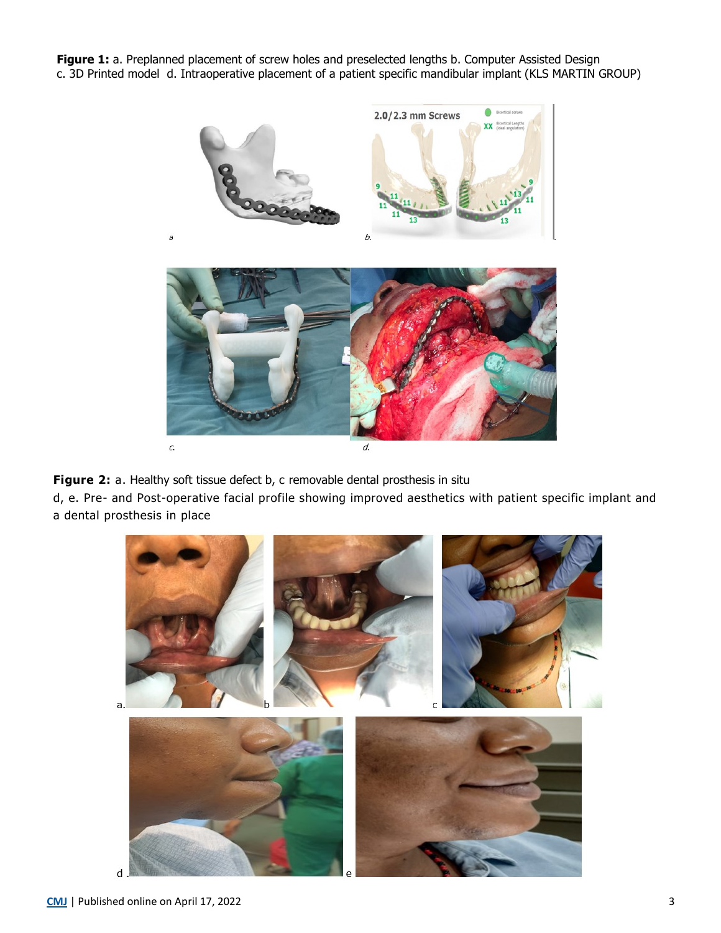**Figure 1:** a. Preplanned placement of screw holes and preselected lengths b. Computer Assisted Design c. 3D Printed model d. Intraoperative placement of a patient specific mandibular implant (KLS MARTIN GROUP)





**Figure 2:** a. Healthy soft tissue defect b, c removable dental prosthesis in situ

 $\overline{a}$ 

d, e. Pre- and Post-operative facial profile showing improved aesthetics with patient specific implant and a dental prosthesis in place

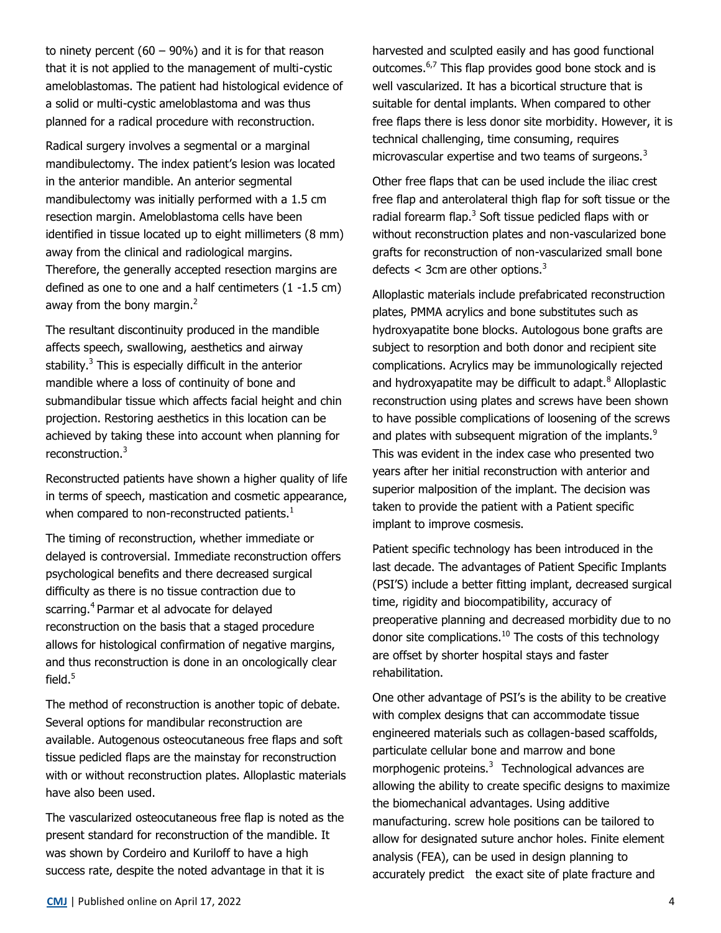to ninety percent  $(60 - 90%)$  and it is for that reason that it is not applied to the management of multi-cystic ameloblastomas. The patient had histological evidence of a solid or multi-cystic ameloblastoma and was thus planned for a radical procedure with reconstruction.

Radical surgery involves a segmental or a marginal mandibulectomy. The index patient's lesion was located in the anterior mandible. An anterior segmental mandibulectomy was initially performed with a 1.5 cm resection margin. Ameloblastoma cells have been identified in tissue located up to eight millimeters (8 mm) away from the clinical and radiological margins. Therefore, the generally accepted resection margins are defined as one to one and a half centimeters (1 -1.5 cm) away from the bony margin. $<sup>2</sup>$ </sup>

The resultant discontinuity produced in the mandible affects speech, swallowing, aesthetics and airway stability.<sup>3</sup> This is especially difficult in the anterior mandible where a loss of continuity of bone and submandibular tissue which affects facial height and chin projection. Restoring aesthetics in this location can be achieved by taking these into account when planning for reconstruction.<sup>3</sup>

Reconstructed patients have shown a higher quality of life in terms of speech, mastication and cosmetic appearance, when compared to non-reconstructed patients. $1$ 

The timing of reconstruction, whether immediate or delayed is controversial. Immediate reconstruction offers psychological benefits and there decreased surgical difficulty as there is no tissue contraction due to scarring.<sup>4</sup> Parmar et al advocate for delayed reconstruction on the basis that a staged procedure allows for histological confirmation of negative margins, and thus reconstruction is done in an oncologically clear field. $5$ 

The method of reconstruction is another topic of debate. Several options for mandibular reconstruction are available. Autogenous osteocutaneous free flaps and soft tissue pedicled flaps are the mainstay for reconstruction with or without reconstruction plates. Alloplastic materials have also been used.

The vascularized osteocutaneous free flap is noted as the present standard for reconstruction of the mandible. It was shown by Cordeiro and Kuriloff to have a high success rate, despite the noted advantage in that it is

harvested and sculpted easily and has good functional outcomes.<sup>6,7</sup> This flap provides good bone stock and is well vascularized. It has a bicortical structure that is suitable for dental implants. When compared to other free flaps there is less donor site morbidity. However, it is technical challenging, time consuming, requires microvascular expertise and two teams of surgeons.<sup>3</sup>

Other free flaps that can be used include the iliac crest free flap and anterolateral thigh flap for soft tissue or the radial forearm flap.<sup>3</sup> Soft tissue pedicled flaps with or without reconstruction plates and non-vascularized bone grafts for reconstruction of non-vascularized small bone defects  $<$  3cm are other options.<sup>3</sup>

Alloplastic materials include prefabricated reconstruction plates, PMMA acrylics and bone substitutes such as hydroxyapatite bone blocks. Autologous bone grafts are subject to resorption and both donor and recipient site complications. Acrylics may be immunologically rejected and hydroxyapatite may be difficult to adapt. $8$  Alloplastic reconstruction using plates and screws have been shown to have possible complications of loosening of the screws and plates with subsequent migration of the implants.<sup>9</sup> This was evident in the index case who presented two years after her initial reconstruction with anterior and superior malposition of the implant. The decision was taken to provide the patient with a Patient specific implant to improve cosmesis.

Patient specific technology has been introduced in the last decade. The advantages of Patient Specific Implants (PSI'S) include a better fitting implant, decreased surgical time, rigidity and biocompatibility, accuracy of preoperative planning and decreased morbidity due to no donor site complications.<sup>10</sup> The costs of this technology are offset by shorter hospital stays and faster rehabilitation.

One other advantage of PSI's is the ability to be creative with complex designs that can accommodate tissue engineered materials such as collagen-based scaffolds, particulate cellular bone and marrow and bone morphogenic proteins. $3$  Technological advances are allowing the ability to create specific designs to maximize the biomechanical advantages. Using additive manufacturing. screw hole positions can be tailored to allow for designated suture anchor holes. Finite element analysis (FEA), can be used in design planning to accurately predict the exact site of plate fracture and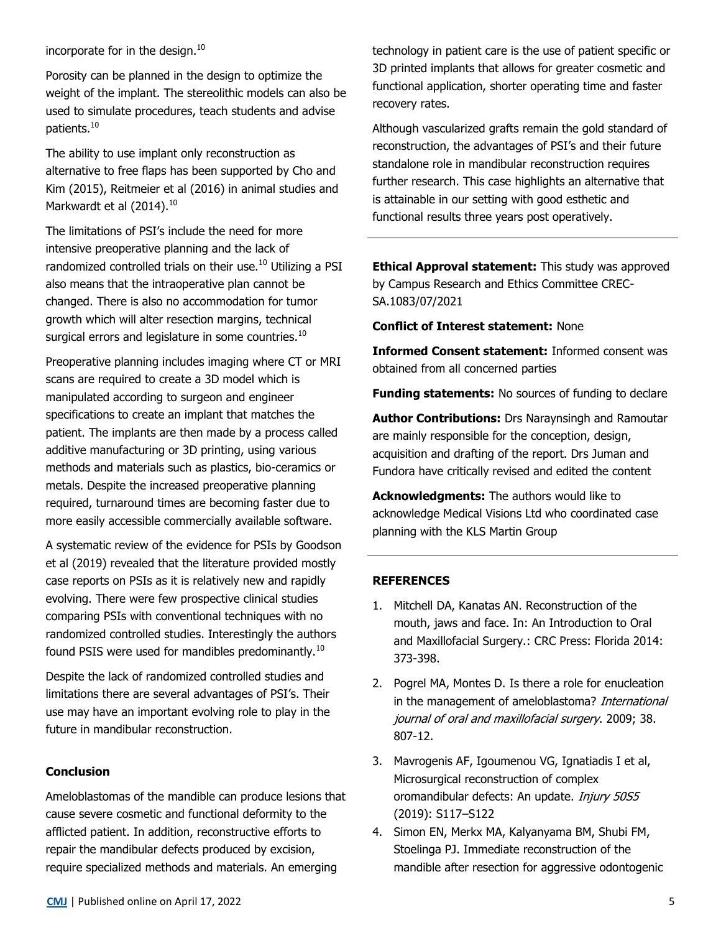incorporate for in the design. $10$ 

Porosity can be planned in the design to optimize the weight of the implant. The stereolithic models can also be used to simulate procedures, teach students and advise patients.<sup>10</sup>

The ability to use implant only reconstruction as alternative to free flaps has been supported by Cho and Kim (2015), Reitmeier et al (2016) in animal studies and Markwardt et al  $(2014).^{10}$ 

The limitations of PSI's include the need for more intensive preoperative planning and the lack of randomized controlled trials on their use.<sup>10</sup> Utilizing a PSI also means that the intraoperative plan cannot be changed. There is also no accommodation for tumor growth which will alter resection margins, technical surgical errors and legislature in some countries.<sup>10</sup>

Preoperative planning includes imaging where CT or MRI scans are required to create a 3D model which is manipulated according to surgeon and engineer specifications to create an implant that matches the patient. The implants are then made by a process called additive manufacturing or 3D printing, using various methods and materials such as plastics, bio-ceramics or metals. Despite the increased preoperative planning required, turnaround times are becoming faster due to more easily accessible commercially available software.

A systematic review of the evidence for PSIs by Goodson et al (2019) revealed that the literature provided mostly case reports on PSIs as it is relatively new and rapidly evolving. There were few prospective clinical studies comparing PSIs with conventional techniques with no randomized controlled studies. Interestingly the authors found PSIS were used for mandibles predominantly.<sup>10</sup>

Despite the lack of randomized controlled studies and limitations there are several advantages of PSI's. Their use may have an important evolving role to play in the future in mandibular reconstruction.

## **Conclusion**

Ameloblastomas of the mandible can produce lesions that cause severe cosmetic and functional deformity to the afflicted patient. In addition, reconstructive efforts to repair the mandibular defects produced by excision, require specialized methods and materials. An emerging

technology in patient care is the use of patient specific or 3D printed implants that allows for greater cosmetic and functional application, shorter operating time and faster recovery rates.

Although vascularized grafts remain the gold standard of reconstruction, the advantages of PSI's and their future standalone role in mandibular reconstruction requires further research. This case highlights an alternative that is attainable in our setting with good esthetic and functional results three years post operatively.

**Ethical Approval statement:** This study was approved by Campus Research and Ethics Committee CREC-SA.1083/07/2021

**Conflict of Interest statement:** None

**Informed Consent statement:** Informed consent was obtained from all concerned parties

**Funding statements:** No sources of funding to declare

**Author Contributions:** Drs Naraynsingh and Ramoutar are mainly responsible for the conception, design, acquisition and drafting of the report. Drs Juman and Fundora have critically revised and edited the content

**Acknowledgments:** The authors would like to acknowledge Medical Visions Ltd who coordinated case planning with the KLS Martin Group

#### **REFERENCES**

- 1. Mitchell DA, Kanatas AN. Reconstruction of the mouth, jaws and face. In: An Introduction to Oral and Maxillofacial Surgery.: CRC Press: Florida 2014: 373-398.
- 2. Pogrel MA, Montes D. Is there a role for enucleation in the management of ameloblastoma? International journal of oral and maxillofacial surgery. 2009; 38. 807-12.
- 3. Mavrogenis AF, Igoumenou VG, Ignatiadis I et al, Microsurgical reconstruction of complex oromandibular defects: An update. *Injury 50S5* (2019): S117–S122
- 4. Simon EN, Merkx MA, Kalyanyama BM, Shubi FM, Stoelinga PJ. Immediate reconstruction of the mandible after resection for aggressive odontogenic